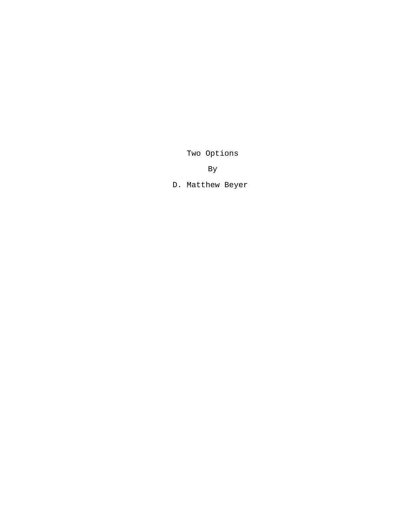Two Options

By

D. Matthew Beyer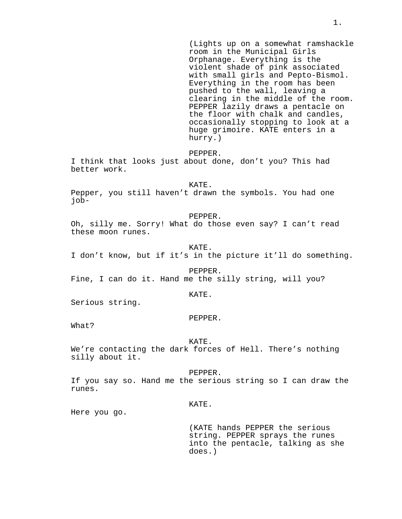(Lights up on a somewhat ramshackle room in the Municipal Girls Orphanage. Everything is the violent shade of pink associated with small girls and Pepto-Bismol. Everything in the room has been pushed to the wall, leaving a clearing in the middle of the room. PEPPER lazily draws a pentacle on the floor with chalk and candles, occasionally stopping to look at a huge grimoire. KATE enters in a hurry.)

PEPPER.

I think that looks just about done, don't you? This had better work.

KATE.

Pepper, you still haven't drawn the symbols. You had one job-

# PEPPER.

Oh, silly me. Sorry! What do those even say? I can't read these moon runes.

KATE.

I don't know, but if it's in the picture it'll do something.

PEPPER. Fine, I can do it. Hand me the silly string, will you?

### KATE.

Serious string.

#### PEPPER.

What?

#### KATE.

We're contacting the dark forces of Hell. There's nothing silly about it.

#### PEPPER.

If you say so. Hand me the serious string so I can draw the runes.

### KATE.

Here you go.

(KATE hands PEPPER the serious string. PEPPER sprays the runes into the pentacle, talking as she does.)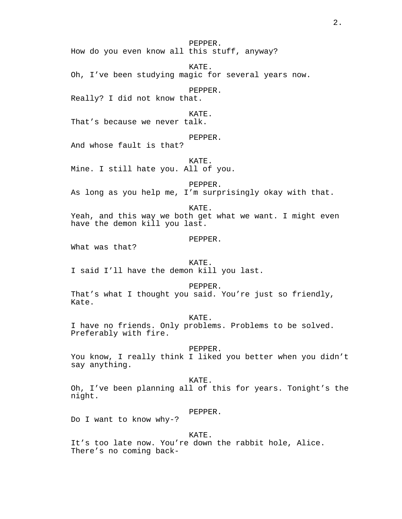PEPPER. How do you even know all this stuff, anyway?

KATE. Oh, I've been studying magic for several years now.

PEPPER.

Really? I did not know that.

KATE.

That's because we never talk.

PEPPER.

And whose fault is that?

KATE. Mine. I still hate you. All of you.

PEPPER. As long as you help me, I'm surprisingly okay with that.

KATE. Yeah, and this way we both get what we want. I might even have the demon kill you last.

PEPPER.

What was that?

KATE.

I said I'll have the demon kill you last.

PEPPER. That's what I thought you said. You're just so friendly, Kate.

KATE. I have no friends. Only problems. Problems to be solved. Preferably with fire.

PEPPER.

You know, I really think I liked you better when you didn't say anything.

KATE. Oh, I've been planning all of this for years. Tonight's the night.

PEPPER.

Do I want to know why-?

KATE.

It's too late now. You're down the rabbit hole, Alice. There's no coming back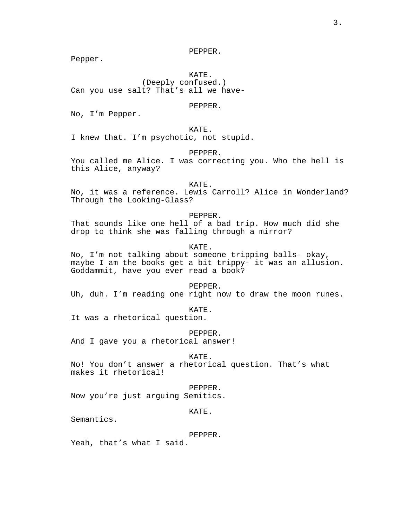PEPPER.

Pepper.

KATE. (Deeply confused.) Can you use salt? That's all we have-

## PEPPER.

No, I'm Pepper.

KATE. I knew that. I'm psychotic, not stupid.

PEPPER.

You called me Alice. I was correcting you. Who the hell is this Alice, anyway?

KATE. No, it was a reference. Lewis Carroll? Alice in Wonderland? Through the Looking-Glass?

# PEPPER.

That sounds like one hell of a bad trip. How much did she drop to think she was falling through a mirror?

KATE.

No, I'm not talking about someone tripping balls- okay, maybe I am the books get a bit trippy- it was an allusion. Goddammit, have you ever read a book?

PEPPER. Uh, duh. I'm reading one right now to draw the moon runes.

KATE.

It was a rhetorical question.

PEPPER. And I gave you a rhetorical answer!

KATE.

No! You don't answer a rhetorical question. That's what makes it rhetorical!

# PEPPER.

Now you're just arguing Semitics.

KATE.

Semantics.

### PEPPER.

Yeah, that's what I said.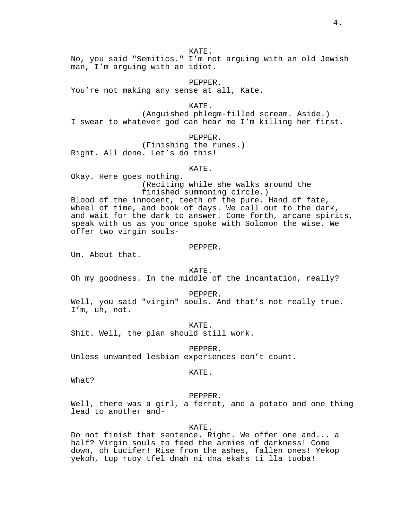No, you said "Semitics." I'm not arguing with an old Jewish man, I'm arguing with an idiot.

PEPPER. You're not making any sense at all, Kate.

KATE. (Anguished phlegm-filled scream. Aside.) I swear to whatever god can hear me I'm killing her first.

PEPPER. (Finishing the runes.) Right. All done. Let's do this!

### KATE.

Okay. Here goes nothing. (Reciting while she walks around the finished summoning circle.)

Blood of the innocent, teeth of the pure. Hand of fate, wheel of time, and book of days. We call out to the dark, and wait for the dark to answer. Come forth, arcane spirits, speak with us as you once spoke with Solomon the wise. We offer two virgin souls-

### PEPPER.

Um. About that.

KATE. Oh my goodness. In the middle of the incantation, really?

PEPPER.

Well, you said "virgin" souls. And that's not really true. I'm, uh, not.

KATE. Shit. Well, the plan should still work.

PEPPER. Unless unwanted lesbian experiences don't count.

KATE.

What?

# PEPPER.

Well, there was a girl, a ferret, and a potato and one thing lead to another and-

KATE.

Do not finish that sentence. Right. We offer one and... a half? Virgin souls to feed the armies of darkness! Come down, oh Lucifer! Rise from the ashes, fallen ones! Yekop yekoh, tup ruoy tfel dnah ni dna ekahs ti lla tuoba!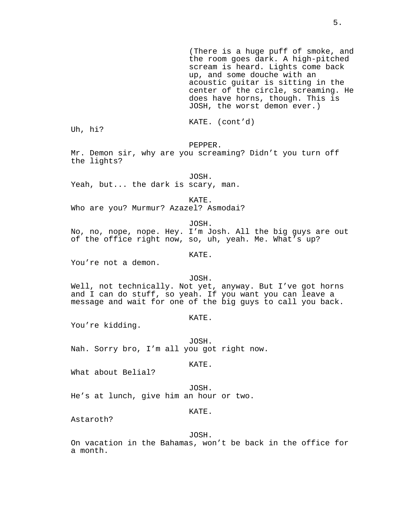(There is a huge puff of smoke, and the room goes dark. A high-pitched scream is heard. Lights come back up, and some douche with an acoustic guitar is sitting in the center of the circle, screaming. He does have horns, though. This is JOSH, the worst demon ever.)

KATE. (cont'd)

Uh, hi?

PEPPER.

Mr. Demon sir, why are you screaming? Didn't you turn off the lights?

JOSH.

Yeah, but... the dark is scary, man.

KATE.

Who are you? Murmur? Azazel? Asmodai?

JOSH.

No, no, nope, nope. Hey. I'm Josh. All the big guys are out of the office right now, so, uh, yeah. Me. What's up?

KATE.

You're not a demon.

JOSH.

Well, not technically. Not yet, anyway. But I've got horns and I can do stuff, so yeah. If you want you can leave a message and wait for one of the big guys to call you back.

KATE.

You're kidding.

JOSH. Nah. Sorry bro, I'm all you got right now.

KATE.

What about Belial?

JOSH. He's at lunch, give him an hour or two.

KATE.

Astaroth?

JOSH.

On vacation in the Bahamas, won't be back in the office for a month.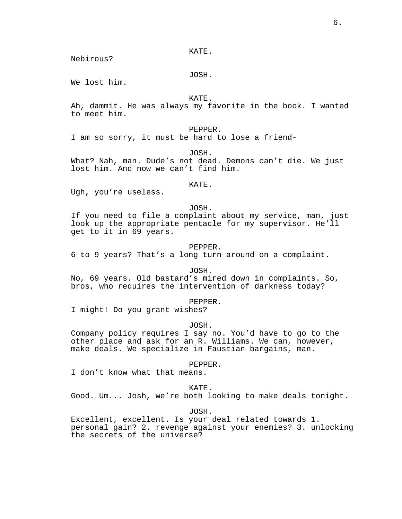Nebirous?

JOSH.

We lost him.

KATE.

Ah, dammit. He was always my favorite in the book. I wanted to meet him.

PEPPER.

I am so sorry, it must be hard to lose a friend-

JOSH.

What? Nah, man. Dude's not dead. Demons can't die. We just lost him. And now we can't find him.

KATE.

Ugh, you're useless.

JOSH.

If you need to file a complaint about my service, man, just look up the appropriate pentacle for my supervisor. He'll get to it in 69 years.

PEPPER.

6 to 9 years? That's a long turn around on a complaint.

JOSH.

No, 69 years. Old bastard's mired down in complaints. So, bros, who requires the intervention of darkness today?

PEPPER.

I might! Do you grant wishes?

JOSH.

Company policy requires I say no. You'd have to go to the other place and ask for an R. Williams. We can, however, make deals. We specialize in Faustian bargains, man.

PEPPER.

I don't know what that means.

KATE.

Good. Um... Josh, we're both looking to make deals tonight.

JOSH.

Excellent, excellent. Is your deal related towards 1. personal gain? 2. revenge against your enemies? 3. unlocking the secrets of the universe?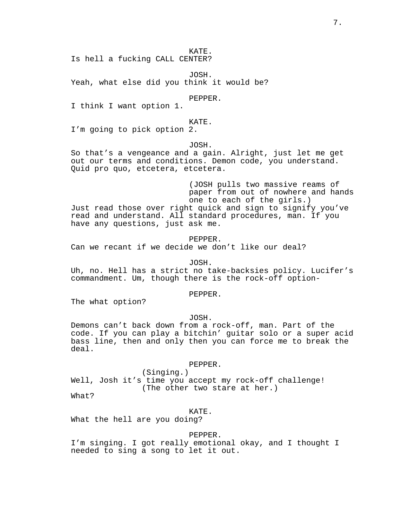Is hell a fucking CALL CENTER?

JOSH. Yeah, what else did you think it would be?

PEPPER.

I think I want option 1.

## KATE.

I'm going to pick option 2.

## JOSH.

So that's a vengeance and a gain. Alright, just let me get out our terms and conditions. Demon code, you understand. Quid pro quo, etcetera, etcetera.

(JOSH pulls two massive reams of paper from out of nowhere and hands one to each of the girls.) Just read those over right quick and sign to signify you've read and understand. All standard procedures, man. If you have any questions, just ask me.

PEPPER. Can we recant if we decide we don't like our deal?

JOSH.

Uh, no. Hell has a strict no take-backsies policy. Lucifer's commandment. Um, though there is the rock-off option-

PEPPER.

The what option?

JOSH.

Demons can't back down from a rock-off, man. Part of the code. If you can play a bitchin' guitar solo or a super acid bass line, then and only then you can force me to break the deal.

PEPPER.

(Singing.) Well, Josh it's time you accept my rock-off challenge! (The other two stare at her.)

What?

KATE.

What the hell are you doing?

PEPPER.

I'm singing. I got really emotional okay, and I thought I needed to sing a song to let it out.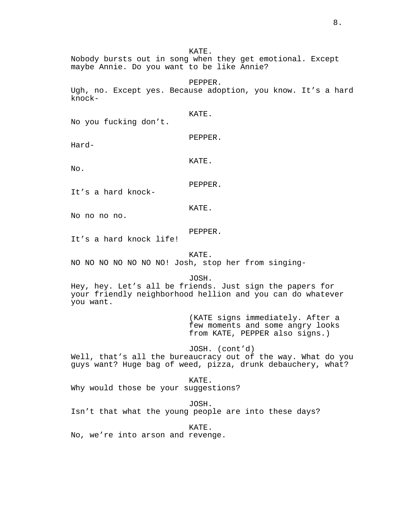Nobody bursts out in song when they get emotional. Except maybe Annie. Do you want to be like Annie?

PEPPER. Ugh, no. Except yes. Because adoption, you know. It's a hard knock-

No you fucking don't.

PEPPER.

KATE.

Hard-

KATE.

No.

It's a hard knock-

KATE.

PEPPER.

No no no no.

PEPPER.

It's a hard knock life!

KATE.

NO NO NO NO NO NO NO! Josh, stop her from singing-

JOSH.

Hey, hey. Let's all be friends. Just sign the papers for your friendly neighborhood hellion and you can do whatever you want.

> (KATE signs immediately. After a few moments and some angry looks from KATE, PEPPER also signs.)

# JOSH. (cont'd)

Well, that's all the bureaucracy out of the way. What do you guys want? Huge bag of weed, pizza, drunk debauchery, what?

KATE. Why would those be your suggestions?

JOSH. Isn't that what the young people are into these days?

KATE. No, we're into arson and revenge.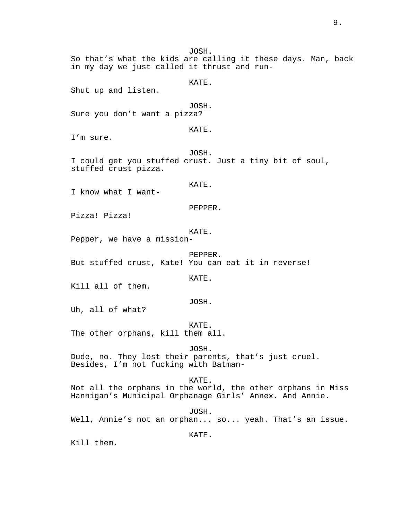in my day we just called it thrust and run-KATE. Shut up and listen. JOSH. Sure you don't want a pizza? KATE. I'm sure. JOSH. I could get you stuffed crust. Just a tiny bit of soul, stuffed crust pizza. KATE. I know what I want-PEPPER. Pizza! Pizza! KATE. Pepper, we have a mission-PEPPER. But stuffed crust, Kate! You can eat it in reverse! KATE. Kill all of them. JOSH. Uh, all of what? KATE. The other orphans, kill them all. JOSH. Dude, no. They lost their parents, that's just cruel. Besides, I'm not fucking with Batman-KATE. Not all the orphans in the world, the other orphans in Miss Hannigan's Municipal Orphanage Girls' Annex. And Annie. JOSH. Well, Annie's not an orphan... so... yeah. That's an issue.

KATE.

JOSH.

So that's what the kids are calling it these days. Man, back

Kill them.

9.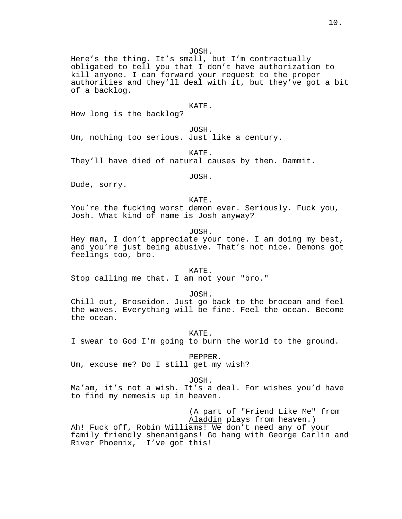JOSH.

Here's the thing. It's small, but I'm contractually obligated to tell you that I don't have authorization to kill anyone. I can forward your request to the proper authorities and they'll deal with it, but they've got a bit of a backlog.

### KATE.

How long is the backlog?

JOSH. Um, nothing too serious. Just like a century.

KATE. They'll have died of natural causes by then. Dammit.

JOSH.

Dude, sorry.

KATE.

You're the fucking worst demon ever. Seriously. Fuck you, Josh. What kind of name is Josh anyway?

JOSH.

Hey man, I don't appreciate your tone. I am doing my best, and you're just being abusive. That's not nice. Demons got feelings too, bro.

KATE.

Stop calling me that. I am not your "bro."

JOSH.

Chill out, Broseidon. Just go back to the brocean and feel the waves. Everything will be fine. Feel the ocean. Become the ocean.

KATE.

I swear to God I'm going to burn the world to the ground.

PEPPER.

Um, excuse me? Do I still get my wish?

JOSH.

Ma'am, it's not a wish. It's a deal. For wishes you'd have to find my nemesis up in heaven.

(A part of "Friend Like Me" from Aladdin plays from heaven.) Ah! Fuck off, Robin Williams! We don't need any of your family friendly shenanigans! Go hang with George Carlin and River Phoenix, I've got this!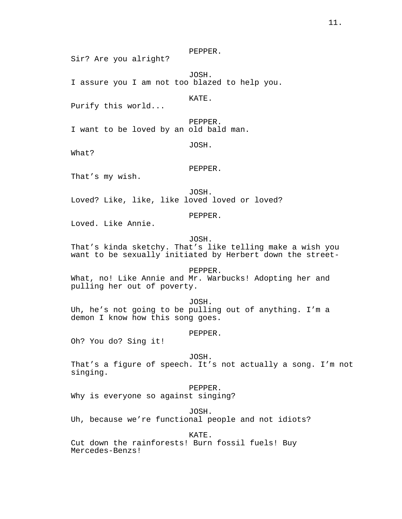PEPPER.

Sir? Are you alright?

JOSH. I assure you I am not too blazed to help you.

KATE.

Purify this world...

PEPPER. I want to be loved by an old bald man.

JOSH.

What?

PEPPER.

That's my wish.

JOSH. Loved? Like, like, like loved loved or loved?

PEPPER.

Loved. Like Annie.

JOSH.

That's kinda sketchy. That's like telling make a wish you want to be sexually initiated by Herbert down the street-

PEPPER. What, no! Like Annie and Mr. Warbucks! Adopting her and pulling her out of poverty.

JOSH. Uh, he's not going to be pulling out of anything. I'm a demon I know how this song goes.

PEPPER.

Oh? You do? Sing it!

JOSH.

That's a figure of speech. It's not actually a song. I'm not singing.

PEPPER.

Why is everyone so against singing?

JOSH.

Uh, because we're functional people and not idiots?

KATE.

Cut down the rainforests! Burn fossil fuels! Buy Mercedes-Benzs!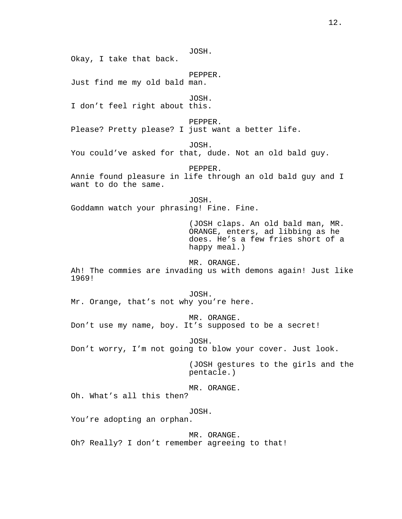JOSH. Okay, I take that back. PEPPER. Just find me my old bald man. JOSH. I don't feel right about this. PEPPER. Please? Pretty please? I just want a better life. JOSH. You could've asked for that, dude. Not an old bald guy. PEPPER. Annie found pleasure in life through an old bald guy and I want to do the same. JOSH. Goddamn watch your phrasing! Fine. Fine. (JOSH claps. An old bald man, MR. ORANGE, enters, ad libbing as he does. He's a few fries short of a happy meal.) MR. ORANGE. Ah! The commies are invading us with demons again! Just like 1969! JOSH. Mr. Orange, that's not why you're here. MR. ORANGE. Don't use my name, boy. It's supposed to be a secret! JOSH. Don't worry, I'm not going to blow your cover. Just look. (JOSH gestures to the girls and the pentacle.) MR. ORANGE. Oh. What's all this then? JOSH. You're adopting an orphan. MR. ORANGE. Oh? Really? I don't remember agreeing to that!

12.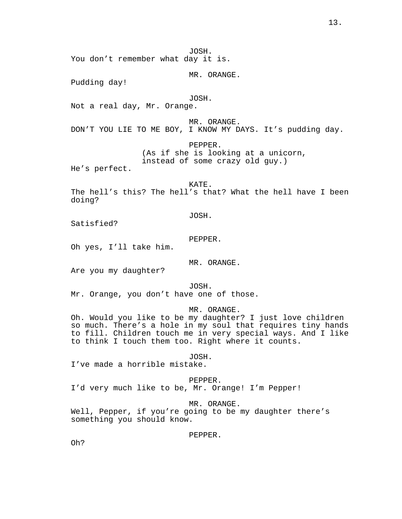JOSH. You don't remember what day it is.

MR. ORANGE.

Pudding day!

## JOSH.

Not a real day, Mr. Orange.

MR. ORANGE. DON'T YOU LIE TO ME BOY, I KNOW MY DAYS. It's pudding day.

PEPPER.

(As if she is looking at a unicorn, instead of some crazy old guy.)

He's perfect.

KATE.

The hell's this? The hell's that? What the hell have I been doing?

JOSH.

Satisfied?

PEPPER.

Oh yes, I'll take him.

MR. ORANGE.

Are you my daughter?

JOSH.

Mr. Orange, you don't have one of those.

MR. ORANGE.

Oh. Would you like to be my daughter? I just love children so much. There's a hole in my soul that requires tiny hands to fill. Children touch me in very special ways. And I like to think I touch them too. Right where it counts.

JOSH.

I've made a horrible mistake.

PEPPER. I'd very much like to be, Mr. Orange! I'm Pepper!

MR. ORANGE.

Well, Pepper, if you're going to be my daughter there's something you should know.

PEPPER.

Oh?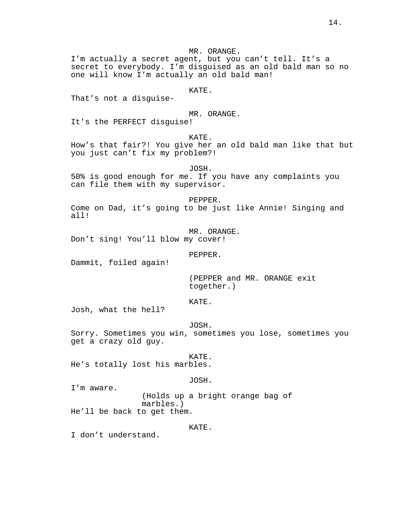MR. ORANGE. I'm actually a secret agent, but you can't tell. It's a secret to everybody. I'm disguised as an old bald man so no one will know I'm actually an old bald man! KATE. That's not a disguise-MR. ORANGE. It's the PERFECT disguise! KATE. How's that fair?! You give her an old bald man like that but you just can't fix my problem?! JOSH. 50% is good enough for me. If you have any complaints you can file them with my supervisor. PEPPER. Come on Dad, it's going to be just like Annie! Singing and all! MR. ORANGE. Don't sing! You'll blow my cover! PEPPER. Dammit, foiled again! (PEPPER and MR. ORANGE exit together.) KATE. Josh, what the hell? JOSH. Sorry. Sometimes you win, sometimes you lose, sometimes you get a crazy old guy. KATE. He's totally lost his marbles. JOSH. I'm aware.

(Holds up a bright orange bag of marbles.) He'll be back to get them.

# KATE.

I don't understand.